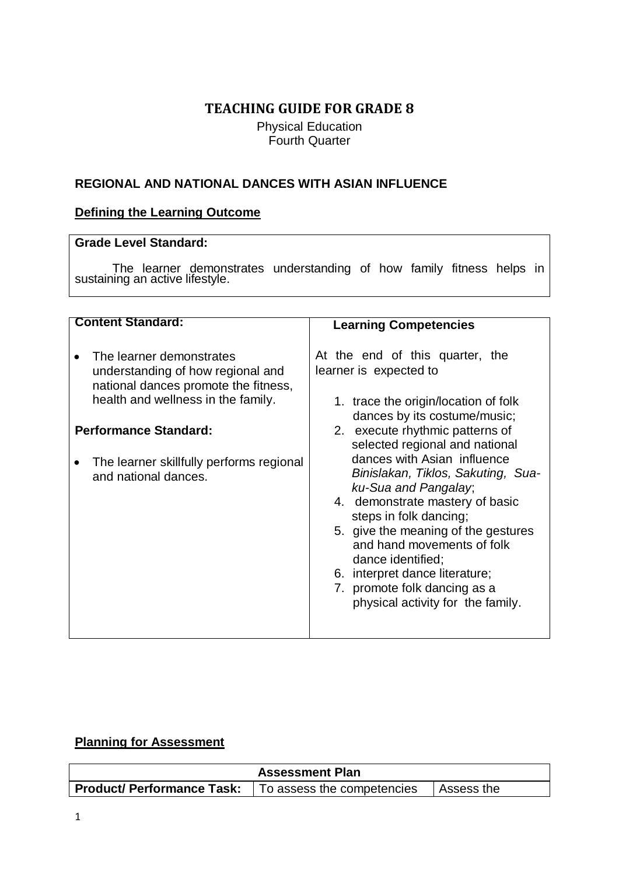# **TEACHING GUIDE FOR GRADE 8**

Physical Education Fourth Quarter

## **REGIONAL AND NATIONAL DANCES WITH ASIAN INFLUENCE**

## **Defining the Learning Outcome**

### **Grade Level Standard:**

The learner demonstrates understanding of how family fitness helps in sustaining an active lifestyle.

| <b>Content Standard:</b><br>The learner demonstrates<br>understanding of how regional and<br>national dances promote the fitness,<br>health and wellness in the family.<br><b>Performance Standard:</b><br>The learner skillfully performs regional<br>and national dances. | <b>Learning Competencies</b><br>At the end of this quarter, the<br>learner is expected to<br>1. trace the origin/location of folk<br>dances by its costume/music;<br>2. execute rhythmic patterns of<br>selected regional and national<br>dances with Asian influence<br>Binislakan, Tiklos, Sakuting, Sua-<br>ku-Sua and Pangalay,<br>4. demonstrate mastery of basic<br>steps in folk dancing;<br>5. give the meaning of the gestures<br>and hand movements of folk<br>dance identified;<br>6. interpret dance literature; |  |  |  |
|-----------------------------------------------------------------------------------------------------------------------------------------------------------------------------------------------------------------------------------------------------------------------------|------------------------------------------------------------------------------------------------------------------------------------------------------------------------------------------------------------------------------------------------------------------------------------------------------------------------------------------------------------------------------------------------------------------------------------------------------------------------------------------------------------------------------|--|--|--|
|                                                                                                                                                                                                                                                                             | 7. promote folk dancing as a<br>physical activity for the family.                                                                                                                                                                                                                                                                                                                                                                                                                                                            |  |  |  |
|                                                                                                                                                                                                                                                                             |                                                                                                                                                                                                                                                                                                                                                                                                                                                                                                                              |  |  |  |

## **Planning for Assessment**

| <b>Assessment Plan</b>            |                            |             |  |  |
|-----------------------------------|----------------------------|-------------|--|--|
| <b>Product/ Performance Task:</b> | To assess the competencies | ∣Assess the |  |  |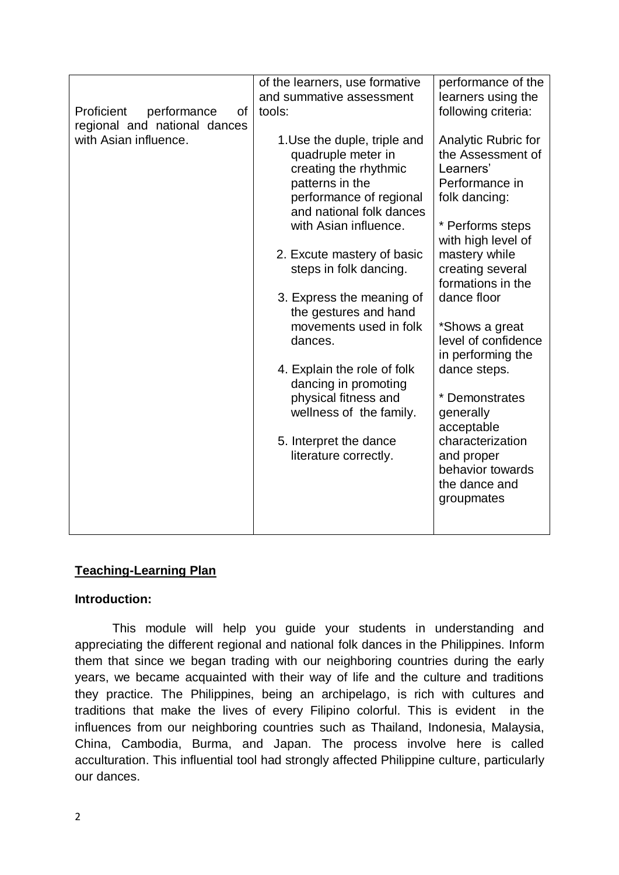|                                 | of the learners, use formative | performance of the  |
|---------------------------------|--------------------------------|---------------------|
|                                 | and summative assessment       | learners using the  |
| Proficient<br>performance<br>οf | tools:                         | following criteria: |
| regional and national dances    |                                |                     |
| with Asian influence.           | 1. Use the duple, triple and   | Analytic Rubric for |
|                                 | quadruple meter in             | the Assessment of   |
|                                 | creating the rhythmic          | Learners'           |
|                                 | patterns in the                | Performance in      |
|                                 | performance of regional        | folk dancing:       |
|                                 | and national folk dances       |                     |
|                                 | with Asian influence.          | * Performs steps    |
|                                 |                                |                     |
|                                 |                                | with high level of  |
|                                 | 2. Excute mastery of basic     | mastery while       |
|                                 | steps in folk dancing.         | creating several    |
|                                 |                                | formations in the   |
|                                 | 3. Express the meaning of      | dance floor         |
|                                 | the gestures and hand          |                     |
|                                 | movements used in folk         | *Shows a great      |
|                                 | dances.                        | level of confidence |
|                                 |                                | in performing the   |
|                                 | 4. Explain the role of folk    | dance steps.        |
|                                 | dancing in promoting           |                     |
|                                 | physical fitness and           | * Demonstrates      |
|                                 | wellness of the family.        | generally           |
|                                 |                                | acceptable          |
|                                 | 5. Interpret the dance         | characterization    |
|                                 | literature correctly.          | and proper          |
|                                 |                                | behavior towards    |
|                                 |                                | the dance and       |
|                                 |                                |                     |
|                                 |                                | groupmates          |
|                                 |                                |                     |
|                                 |                                |                     |

## **Teaching-Learning Plan**

## **Introduction:**

This module will help you guide your students in understanding and appreciating the different regional and national folk dances in the Philippines. Inform them that since we began trading with our neighboring countries during the early years, we became acquainted with their way of life and the culture and traditions they practice. The Philippines, being an archipelago, is rich with cultures and traditions that make the lives of every Filipino colorful. This is evident in the influences from our neighboring countries such as Thailand, Indonesia, Malaysia, China, Cambodia, Burma, and Japan. The process involve here is called acculturation. This influential tool had strongly affected Philippine culture, particularly our dances.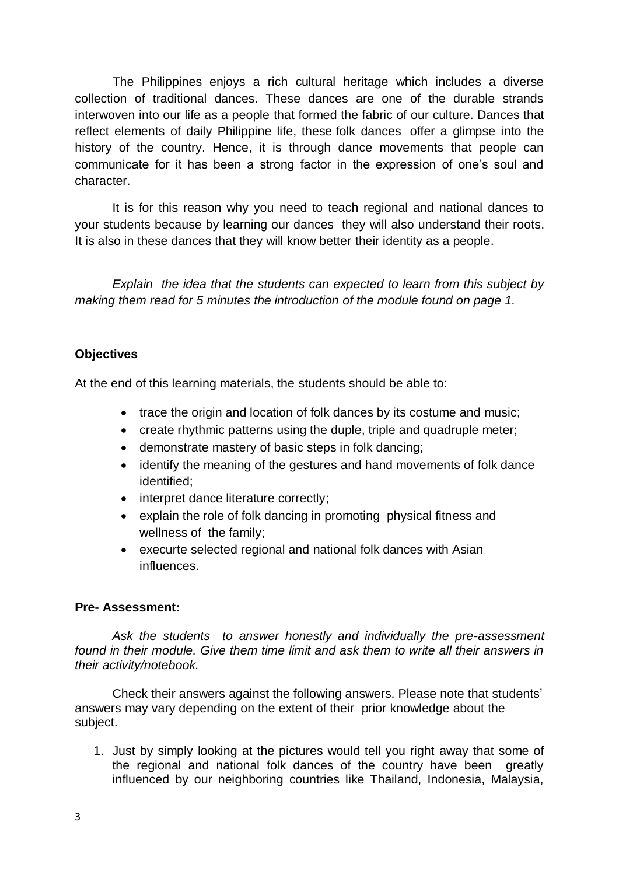The Philippines enjoys a rich cultural heritage which includes a diverse collection of traditional dances. These dances are one of the durable strands interwoven into our life as a people that formed the fabric of our culture. Dances that reflect elements of daily Philippine life, these [folk dances](http://dance.lovetoknow.com/Philippine_Folk_Dance_History) offer a glimpse into the history of the country. Hence, it is through dance movements that people can communicate for it has been a strong factor in the expression of one's soul and character.

It is for this reason why you need to teach regional and national dances to your students because by learning our dances they will also understand their roots. It is also in these dances that they will know better their identity as a people.

*Explain the idea that the students can expected to learn from this subject by making them read for 5 minutes the introduction of the module found on page 1.*

## **Objectives**

At the end of this learning materials, the students should be able to:

- trace the origin and location of folk dances by its costume and music;
- create rhythmic patterns using the duple, triple and quadruple meter;
- demonstrate mastery of basic steps in folk dancing;
- identify the meaning of the gestures and hand movements of folk dance identified;
- interpret dance literature correctly;
- explain the role of folk dancing in promoting physical fitness and wellness of the family;
- execurte selected regional and national folk dances with Asian influences.

## **Pre- Assessment:**

*Ask the students to answer honestly and individually the pre-assessment found in their module. Give them time limit and ask them to write all their answers in their activity/notebook.*

Check their answers against the following answers. Please note that students' answers may vary depending on the extent of their prior knowledge about the subject.

1. Just by simply looking at the pictures would tell you right away that some of the regional and national folk dances of the country have been greatly influenced by our neighboring countries like Thailand, Indonesia, Malaysia,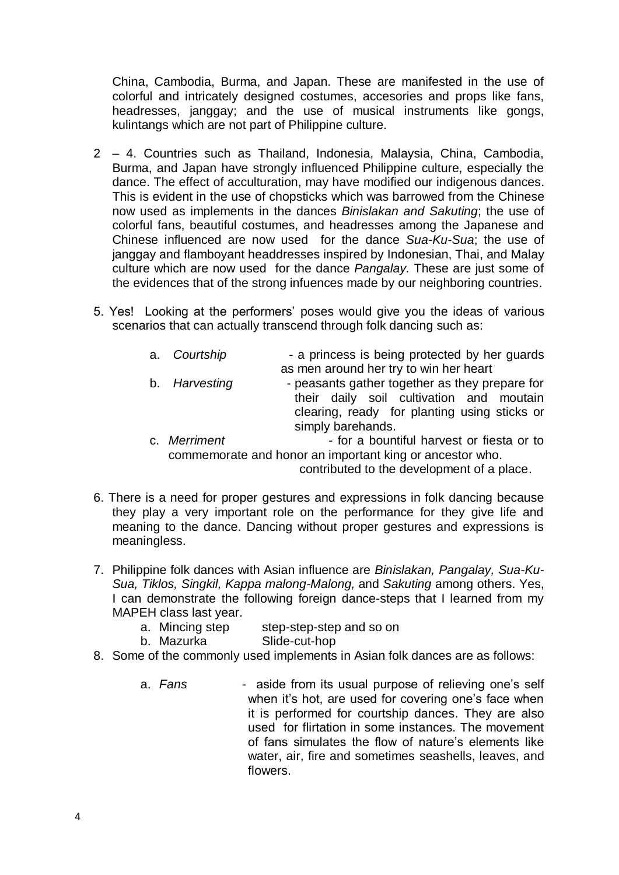China, Cambodia, Burma, and Japan. These are manifested in the use of colorful and intricately designed costumes, accesories and props like fans, headresses, janggay; and the use of musical instruments like gongs, kulintangs which are not part of Philippine culture.

- 2 4. Countries such as Thailand, Indonesia, Malaysia, China, Cambodia, Burma, and Japan have strongly influenced Philippine culture, especially the dance. The effect of acculturation, may have modified our indigenous dances. This is evident in the use of chopsticks which was barrowed from the Chinese now used as implements in the dances *Binislakan and Sakuting*; the use of colorful fans, beautiful costumes, and headresses among the Japanese and Chinese influenced are now used for the dance *Sua-Ku-Sua*; the use of janggay and flamboyant headdresses inspired by Indonesian, Thai, and Malay culture which are now used for the dance *Pangalay.* These are just some of the evidences that of the strong infuences made by our neighboring countries.
- 5. Yes! Looking at the performers' poses would give you the ideas of various scenarios that can actually transcend through folk dancing such as:
	- a. *Courtship*  a princess is being protected by her guards as men around her try to win her heart b. *Harvesting* - peasants gather together as they prepare for their daily soil cultivation and moutain clearing, ready for planting using sticks or simply barehands.
	- c. *Merriment*  **for a bountiful harvest or fiesta or to** commemorate and honor an important king or ancestor who.

contributed to the development of a place.

- 6. There is a need for proper gestures and expressions in folk dancing because they play a very important role on the performance for they give life and meaning to the dance. Dancing without proper gestures and expressions is meaningless.
- 7. Philippine folk dances with Asian influence are *Binislakan, Pangalay, Sua-Ku-Sua, Tiklos, Singkil, Kappa malong-Malong,* and *Sakuting* among others. Yes, I can demonstrate the following foreign dance-steps that I learned from my MAPEH class last year.
	- a. Mincing step step-step-step and so on
	- b. Mazurka Slide-cut-hop
- 8. Some of the commonly used implements in Asian folk dances are as follows:
	- a. *Fans*  aside from its usual purpose of relieving one's self when it's hot, are used for covering one's face when it is performed for courtship dances. They are also used for flirtation in some instances. The movement of fans simulates the flow of nature's elements like water, air, fire and sometimes seashells, leaves, and flowers.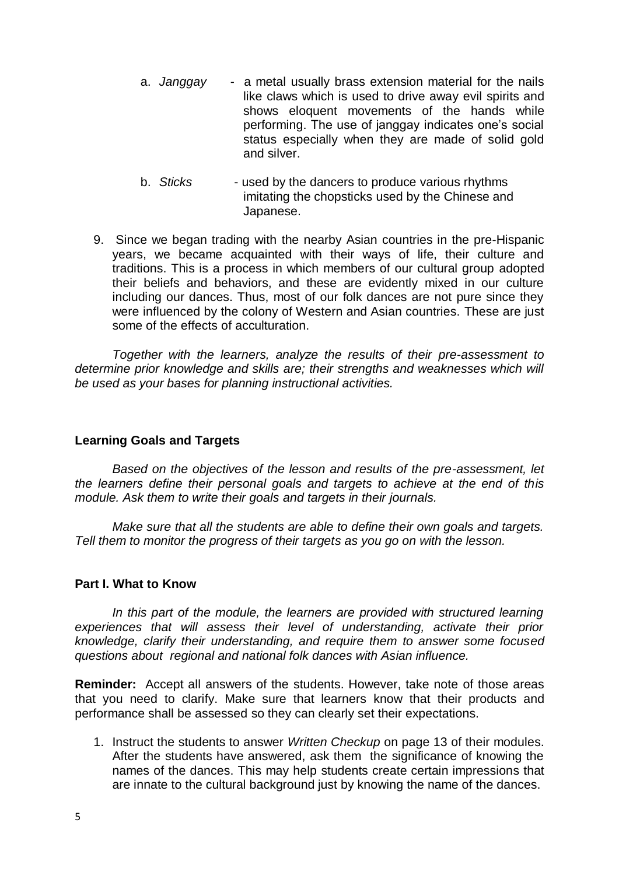- a. *Janggay*  a metal usually brass extension material for the nails like claws which is used to drive away evil spirits and shows eloquent movements of the hands while performing. The use of janggay indicates one's social status especially when they are made of solid gold and silver.
- b. *Sticks*  used by the dancers to produce various rhythms imitating the chopsticks used by the Chinese and Japanese.
- 9. Since we began trading with the nearby Asian countries in the pre-Hispanic years, we became acquainted with their ways of life, their culture and traditions. This is a process in which members of our cultural group adopted their beliefs and behaviors, and these are evidently mixed in our culture including our dances. Thus, most of our folk dances are not pure since they were influenced by the colony of Western and Asian countries. These are just some of the effects of acculturation.

*Together with the learners, analyze the results of their pre-assessment to determine prior knowledge and skills are; their strengths and weaknesses which will be used as your bases for planning instructional activities.*

## **Learning Goals and Targets**

*Based on the objectives of the lesson and results of the pre-assessment, let the learners define their personal goals and targets to achieve at the end of this module. Ask them to write their goals and targets in their journals.*

*Make sure that all the students are able to define their own goals and targets. Tell them to monitor the progress of their targets as you go on with the lesson.*

## **Part I. What to Know**

*In this part of the module, the learners are provided with structured learning experiences that will assess their level of understanding, activate their prior knowledge, clarify their understanding, and require them to answer some focused questions about regional and national folk dances with Asian influence.*

**Reminder:** Accept all answers of the students. However, take note of those areas that you need to clarify. Make sure that learners know that their products and performance shall be assessed so they can clearly set their expectations.

1. Instruct the students to answer *Written Checkup* on page 13 of their modules. After the students have answered, ask them the significance of knowing the names of the dances. This may help students create certain impressions that are innate to the cultural background just by knowing the name of the dances.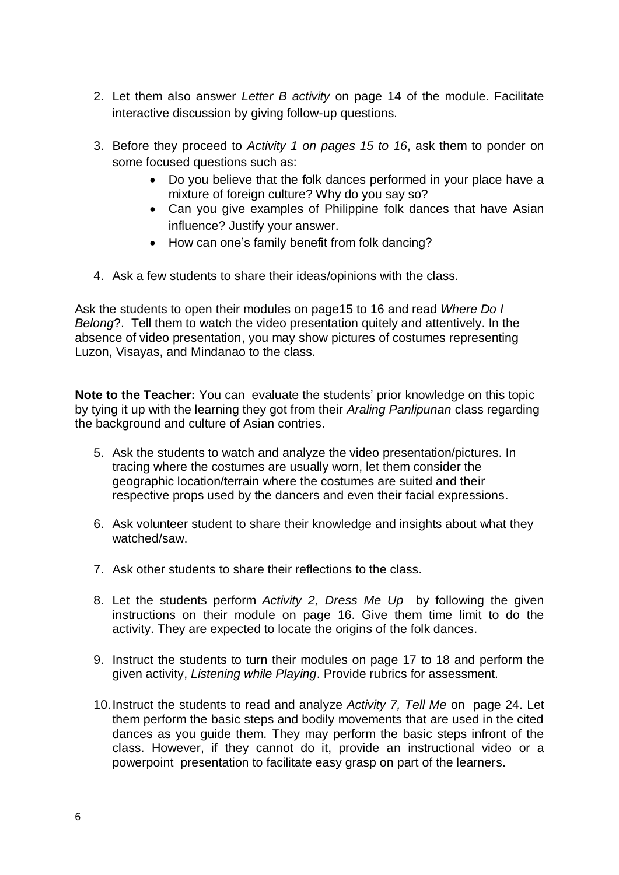- 2. Let them also answer *Letter B activity* on page 14 of the module. Facilitate interactive discussion by giving follow-up questions.
- 3. Before they proceed to *Activity 1 on pages 15 to 16*, ask them to ponder on some focused questions such as:
	- Do you believe that the folk dances performed in your place have a mixture of foreign culture? Why do you say so?
	- Can you give examples of Philippine folk dances that have Asian influence? Justify your answer.
	- How can one's family benefit from folk dancing?
- 4. Ask a few students to share their ideas/opinions with the class.

Ask the students to open their modules on page15 to 16 and read *Where Do I Belong*?. Tell them to watch the video presentation quitely and attentively. In the absence of video presentation, you may show pictures of costumes representing Luzon, Visayas, and Mindanao to the class.

**Note to the Teacher:** You can evaluate the students' prior knowledge on this topic by tying it up with the learning they got from their *Araling Panlipunan* class regarding the background and culture of Asian contries.

- 5. Ask the students to watch and analyze the video presentation/pictures. In tracing where the costumes are usually worn, let them consider the geographic location/terrain where the costumes are suited and their respective props used by the dancers and even their facial expressions.
- 6. Ask volunteer student to share their knowledge and insights about what they watched/saw.
- 7. Ask other students to share their reflections to the class.
- 8. Let the students perform *Activity 2, Dress Me Up* by following the given instructions on their module on page 16. Give them time limit to do the activity. They are expected to locate the origins of the folk dances.
- 9. Instruct the students to turn their modules on page 17 to 18 and perform the given activity, *Listening while Playing*. Provide rubrics for assessment.
- 10.Instruct the students to read and analyze *Activity 7, Tell Me* on page 24. Let them perform the basic steps and bodily movements that are used in the cited dances as you guide them. They may perform the basic steps infront of the class. However, if they cannot do it, provide an instructional video or a powerpoint presentation to facilitate easy grasp on part of the learners.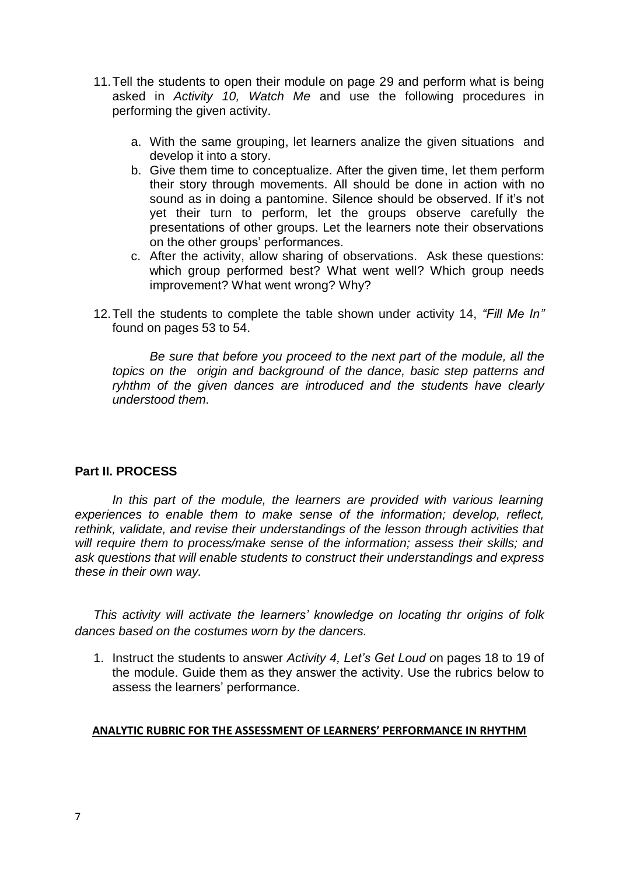- 11.Tell the students to open their module on page 29 and perform what is being asked in *Activity 10, Watch Me* and use the following procedures in performing the given activity.
	- a. With the same grouping, let learners analize the given situations and develop it into a story.
	- b. Give them time to conceptualize. After the given time, let them perform their story through movements. All should be done in action with no sound as in doing a pantomine. Silence should be observed. If it's not yet their turn to perform, let the groups observe carefully the presentations of other groups. Let the learners note their observations on the other groups' performances.
	- c. After the activity, allow sharing of observations. Ask these questions: which group performed best? What went well? Which group needs improvement? What went wrong? Why?
- 12.Tell the students to complete the table shown under activity 14, *"Fill Me In"* found on pages 53 to 54.

*Be sure that before you proceed to the next part of the module, all the topics on the origin and background of the dance, basic step patterns and ryhthm of the given dances are introduced and the students have clearly understood them.*

## **Part II. PROCESS**

In this part of the module, the learners are provided with various learning *experiences to enable them to make sense of the information; develop, reflect, rethink, validate, and revise their understandings of the lesson through activities that will require them to process/make sense of the information; assess their skills; and ask questions that will enable students to construct their understandings and express these in their own way.*

*This activity will activate the learners' knowledge on locating thr origins of folk dances based on the costumes worn by the dancers.*

1. Instruct the students to answer *Activity 4, Let's Get Loud o*n pages 18 to 19 of the module. Guide them as they answer the activity. Use the rubrics below to assess the learners' performance.

#### **ANALYTIC RUBRIC FOR THE ASSESSMENT OF LEARNERS' PERFORMANCE IN RHYTHM**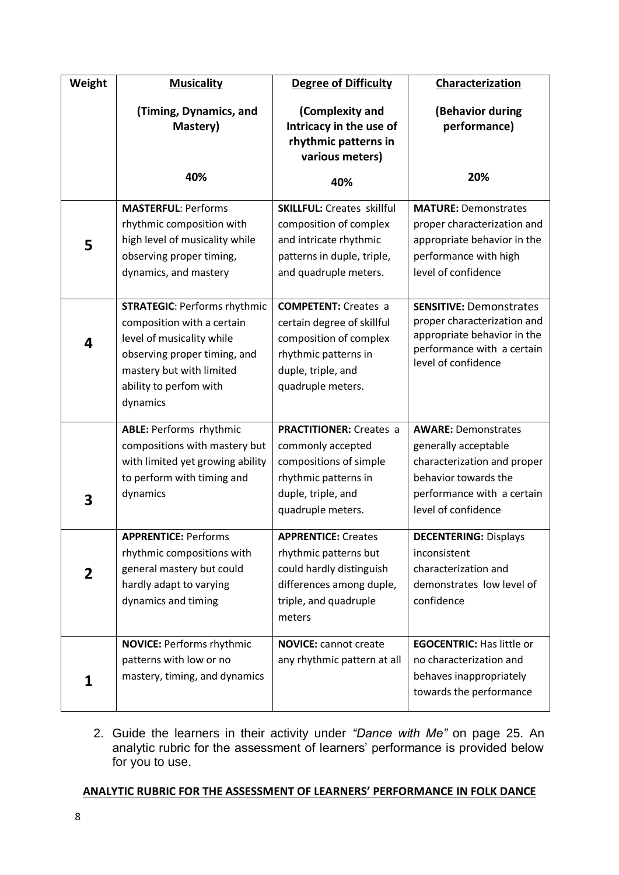| Weight | <b>Musicality</b>                                                                                                                                                                                | <b>Degree of Difficulty</b>                                                                                                                            | Characterization                                                                                                                                               |
|--------|--------------------------------------------------------------------------------------------------------------------------------------------------------------------------------------------------|--------------------------------------------------------------------------------------------------------------------------------------------------------|----------------------------------------------------------------------------------------------------------------------------------------------------------------|
|        | (Timing, Dynamics, and<br>Mastery)                                                                                                                                                               | (Complexity and<br>Intricacy in the use of<br>rhythmic patterns in<br>various meters)                                                                  | (Behavior during<br>performance)                                                                                                                               |
|        | 40%                                                                                                                                                                                              | 40%                                                                                                                                                    | 20%                                                                                                                                                            |
| 5      | <b>MASTERFUL: Performs</b><br>rhythmic composition with<br>high level of musicality while<br>observing proper timing,<br>dynamics, and mastery                                                   | <b>SKILLFUL: Creates skillful</b><br>composition of complex<br>and intricate rhythmic<br>patterns in duple, triple,<br>and quadruple meters.           | <b>MATURE: Demonstrates</b><br>proper characterization and<br>appropriate behavior in the<br>performance with high<br>level of confidence                      |
| 4      | <b>STRATEGIC: Performs rhythmic</b><br>composition with a certain<br>level of musicality while<br>observing proper timing, and<br>mastery but with limited<br>ability to perfom with<br>dynamics | <b>COMPETENT:</b> Creates a<br>certain degree of skillful<br>composition of complex<br>rhythmic patterns in<br>duple, triple, and<br>quadruple meters. | <b>SENSITIVE: Demonstrates</b><br>proper characterization and<br>appropriate behavior in the<br>performance with a certain<br>level of confidence              |
| 3      | <b>ABLE: Performs rhythmic</b><br>compositions with mastery but<br>with limited yet growing ability<br>to perform with timing and<br>dynamics                                                    | <b>PRACTITIONER:</b> Creates a<br>commonly accepted<br>compositions of simple<br>rhythmic patterns in<br>duple, triple, and<br>quadruple meters.       | <b>AWARE: Demonstrates</b><br>generally acceptable<br>characterization and proper<br>behavior towards the<br>performance with a certain<br>level of confidence |
| 2      | <b>APPRENTICE: Performs</b><br>rhythmic compositions with<br>general mastery but could<br>hardly adapt to varying<br>dynamics and timing                                                         | <b>APPRENTICE: Creates</b><br>rhythmic patterns but<br>could hardly distinguish<br>differences among duple,<br>triple, and quadruple<br>meters         | <b>DECENTERING: Displays</b><br>inconsistent<br>characterization and<br>demonstrates low level of<br>confidence                                                |
| 1      | <b>NOVICE: Performs rhythmic</b><br>patterns with low or no<br>mastery, timing, and dynamics                                                                                                     | <b>NOVICE:</b> cannot create<br>any rhythmic pattern at all                                                                                            | <b>EGOCENTRIC: Has little or</b><br>no characterization and<br>behaves inappropriately<br>towards the performance                                              |

2. Guide the learners in their activity under *"Dance with Me"* on page 25. An analytic rubric for the assessment of learners' performance is provided below for you to use.

### **ANALYTIC RUBRIC FOR THE ASSESSMENT OF LEARNERS' PERFORMANCE IN FOLK DANCE**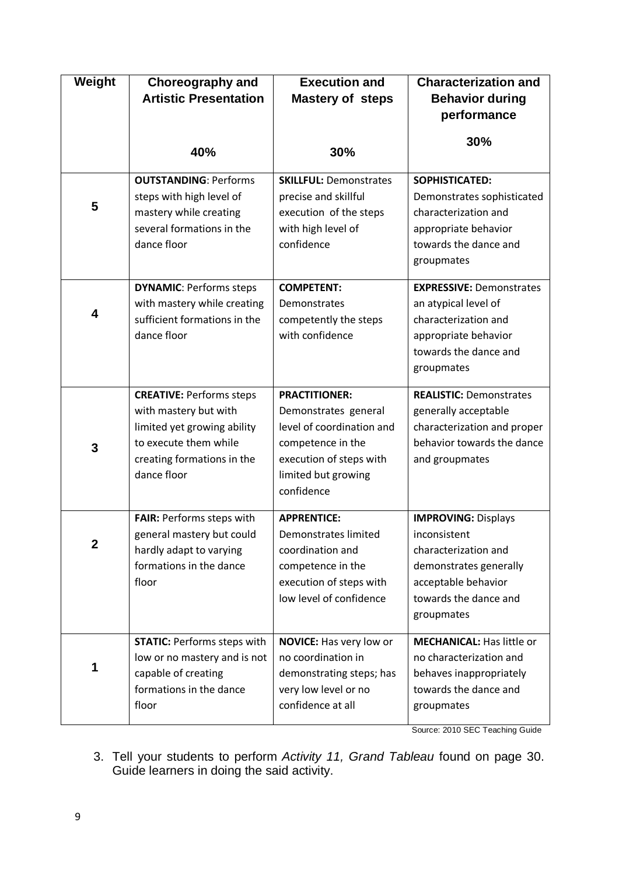| Weight       | <b>Choreography and</b><br><b>Artistic Presentation</b>                                                                                                       | <b>Execution and</b><br><b>Mastery of steps</b>                                                                                                                | <b>Characterization and</b><br><b>Behavior during</b><br>performance                                                                                       |  |  |
|--------------|---------------------------------------------------------------------------------------------------------------------------------------------------------------|----------------------------------------------------------------------------------------------------------------------------------------------------------------|------------------------------------------------------------------------------------------------------------------------------------------------------------|--|--|
|              | 40%                                                                                                                                                           | 30%                                                                                                                                                            | 30%                                                                                                                                                        |  |  |
| 5            | <b>OUTSTANDING: Performs</b><br>steps with high level of<br>mastery while creating<br>several formations in the<br>dance floor                                | <b>SKILLFUL: Demonstrates</b><br>precise and skillful<br>execution of the steps<br>with high level of<br>confidence                                            | SOPHISTICATED:<br>Demonstrates sophisticated<br>characterization and<br>appropriate behavior<br>towards the dance and<br>groupmates                        |  |  |
| 4            | <b>DYNAMIC: Performs steps</b><br>with mastery while creating<br>sufficient formations in the<br>dance floor                                                  | <b>COMPETENT:</b><br>Demonstrates<br>competently the steps<br>with confidence                                                                                  | <b>EXPRESSIVE: Demonstrates</b><br>an atypical level of<br>characterization and<br>appropriate behavior<br>towards the dance and<br>groupmates             |  |  |
| 3            | <b>CREATIVE: Performs steps</b><br>with mastery but with<br>limited yet growing ability<br>to execute them while<br>creating formations in the<br>dance floor | <b>PRACTITIONER:</b><br>Demonstrates general<br>level of coordination and<br>competence in the<br>execution of steps with<br>limited but growing<br>confidence | <b>REALISTIC: Demonstrates</b><br>generally acceptable<br>characterization and proper<br>behavior towards the dance<br>and groupmates                      |  |  |
| $\mathbf{2}$ | FAIR: Performs steps with<br>general mastery but could<br>hardly adapt to varying<br>formations in the dance<br>floor                                         | <b>APPRENTICE:</b><br>Demonstrates limited<br>coordination and<br>competence in the<br>execution of steps with<br>low level of confidence                      | <b>IMPROVING: Displays</b><br>inconsistent<br>characterization and<br>demonstrates generally<br>acceptable behavior<br>towards the dance and<br>groupmates |  |  |
| 1            | <b>STATIC: Performs steps with</b><br>low or no mastery and is not<br>capable of creating<br>formations in the dance<br>floor                                 | <b>NOVICE:</b> Has very low or<br>no coordination in<br>demonstrating steps; has<br>very low level or no<br>confidence at all                                  | <b>MECHANICAL: Has little or</b><br>no characterization and<br>behaves inappropriately<br>towards the dance and<br>groupmates                              |  |  |

Source: 2010 SEC Teaching Guide

3. Tell your students to perform *Activity 11, Grand Tableau* found on page 30. Guide learners in doing the said activity.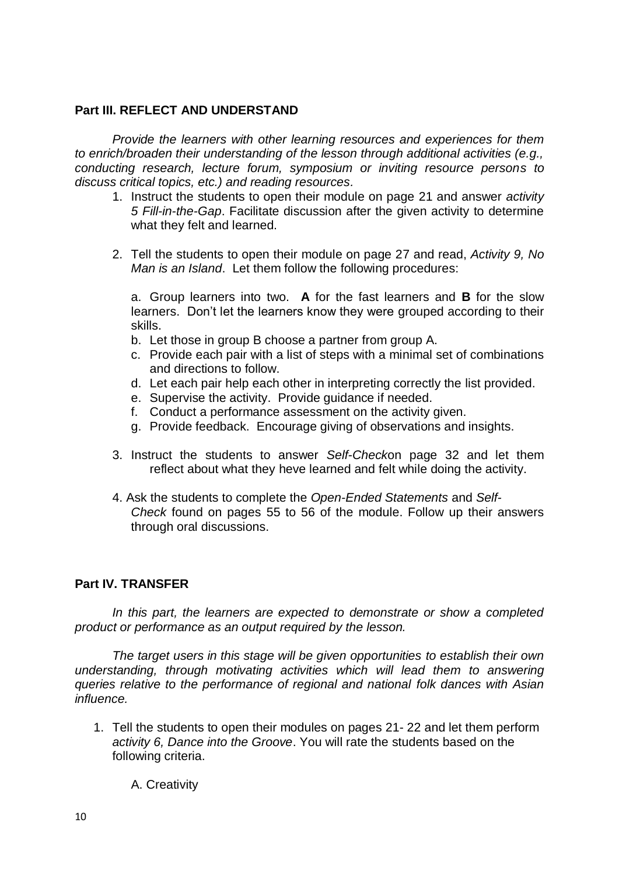## **Part III. REFLECT AND UNDERSTAND**

*Provide the learners with other learning resources and experiences for them to enrich/broaden their understanding of the lesson through additional activities (e.g., conducting research, lecture forum, symposium or inviting resource persons to discuss critical topics, etc.) and reading resources.*

- 1. Instruct the students to open their module on page 21 and answer *activity 5 Fill-in-the-Gap*. Facilitate discussion after the given activity to determine what they felt and learned.
- 2. Tell the students to open their module on page 27 and read, *Activity 9, No Man is an Island*. Let them follow the following procedures:

a. Group learners into two. **A** for the fast learners and **B** for the slow learners. Don't let the learners know they were grouped according to their skills.

- b. Let those in group B choose a partner from group A.
- c. Provide each pair with a list of steps with a minimal set of combinations and directions to follow.
- d. Let each pair help each other in interpreting correctly the list provided.
- e. Supervise the activity. Provide guidance if needed.
- f. Conduct a performance assessment on the activity given.
- g. Provide feedback. Encourage giving of observations and insights.
- 3. Instruct the students to answer *Self-Check*on page 32 and let them reflect about what they heve learned and felt while doing the activity.
- 4. Ask the students to complete the *Open-Ended Statements* and *Self-Check* found on pages 55 to 56 of the module. Follow up their answers through oral discussions.

## **Part IV. TRANSFER**

*In this part, the learners are expected to demonstrate or show a completed product or performance as an output required by the lesson.*

*The target users in this stage will be given opportunities to establish their own understanding, through motivating activities which will lead them to answering queries relative to the performance of regional and national folk dances with Asian influence.*

1. Tell the students to open their modules on pages 21- 22 and let them perform *activity 6, Dance into the Groove*. You will rate the students based on the following criteria.

A. Creativity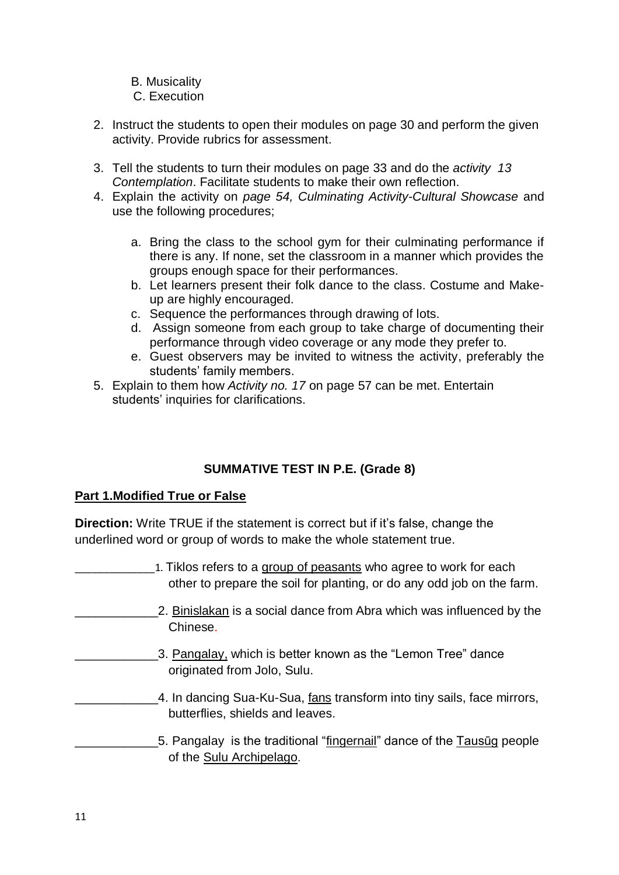B. Musicality

## C. Execution

- 2. Instruct the students to open their modules on page 30 and perform the given activity. Provide rubrics for assessment.
- 3. Tell the students to turn their modules on page 33 and do the *activity 13 Contemplation*. Facilitate students to make their own reflection.
- 4. Explain the activity on *page 54, Culminating Activity-Cultural Showcase* and use the following procedures;
	- a. Bring the class to the school gym for their culminating performance if there is any. If none, set the classroom in a manner which provides the groups enough space for their performances.
	- b. Let learners present their folk dance to the class. Costume and Makeup are highly encouraged.
	- c. Sequence the performances through drawing of lots.
	- d. Assign someone from each group to take charge of documenting their performance through video coverage or any mode they prefer to.
	- e. Guest observers may be invited to witness the activity, preferably the students' family members.
- 5. Explain to them how *Activity no. 17* on page 57 can be met. Entertain students' inquiries for clarifications.

# **SUMMATIVE TEST IN P.E. (Grade 8)**

# **Part 1.Modified True or False**

**Direction:** Write TRUE if the statement is correct but if it's false, change the underlined word or group of words to make the whole statement true.

| 1. Tiklos refers to a group of peasants who agree to work for each<br>other to prepare the soil for planting, or do any odd job on the farm. |
|----------------------------------------------------------------------------------------------------------------------------------------------|
| 2. Binislakan is a social dance from Abra which was influenced by the<br>Chinese.                                                            |
| 3. Pangalay, which is better known as the "Lemon Tree" dance<br>originated from Jolo, Sulu.                                                  |
| 4. In dancing Sua-Ku-Sua, fans transform into tiny sails, face mirrors,<br>butterflies, shields and leaves.                                  |
| 5. Pangalay is the traditional "fingernail" dance of the Tausug people<br>of the Sulu Archipelago.                                           |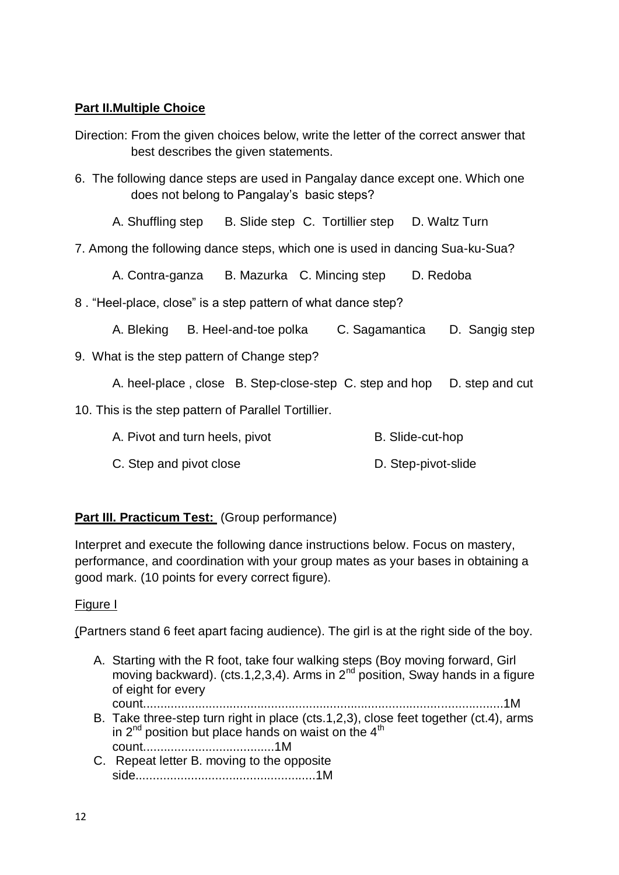## **Part II.Multiple Choice**

- Direction: From the given choices below, write the letter of the correct answer that best describes the given statements.
- 6. The following dance steps are used in Pangalay dance except one. Which one does not belong to Pangalay's basic steps?
	- A. Shuffling step B. Slide step C. Tortillier step D. Waltz Turn
- 7. Among the following dance steps, which one is used in dancing Sua-ku-Sua?

A. Contra-ganza B. Mazurka C. Mincing step D. Redoba

8 . "Heel-place, close" is a step pattern of what dance step?

A. Bleking B. Heel-and-toe polka C. Sagamantica D. Sangig step

9. What is the step pattern of Change step?

A. heel-place, close B. Step-close-step C. step and hop D. step and cut

- 10. This is the step pattern of Parallel Tortillier.
	- A. Pivot and turn heels, pivot B. Slide-cut-hop
	- C. Step and pivot close D. Step-pivot-slide

## **Part III. Practicum Test:** (Group performance)

Interpret and execute the following dance instructions below. Focus on mastery, performance, and coordination with your group mates as your bases in obtaining a good mark. (10 points for every correct figure).

## Figure I

(Partners stand 6 feet apart facing audience). The girl is at the right side of the boy.

A. Starting with the R foot, take four walking steps (Boy moving forward, Girl moving backward). (cts.1,2,3,4). Arms in  $2^{nd}$  position, Sway hands in a figure of eight for every

count........................................................................................................1M

- B. Take three-step turn right in place (cts.1,2,3), close feet together (ct.4), arms in  $2^{nd}$  position but place hands on waist on the  $4<sup>th</sup>$ count......................................1M
- C. Repeat letter B. moving to the opposite side....................................................1M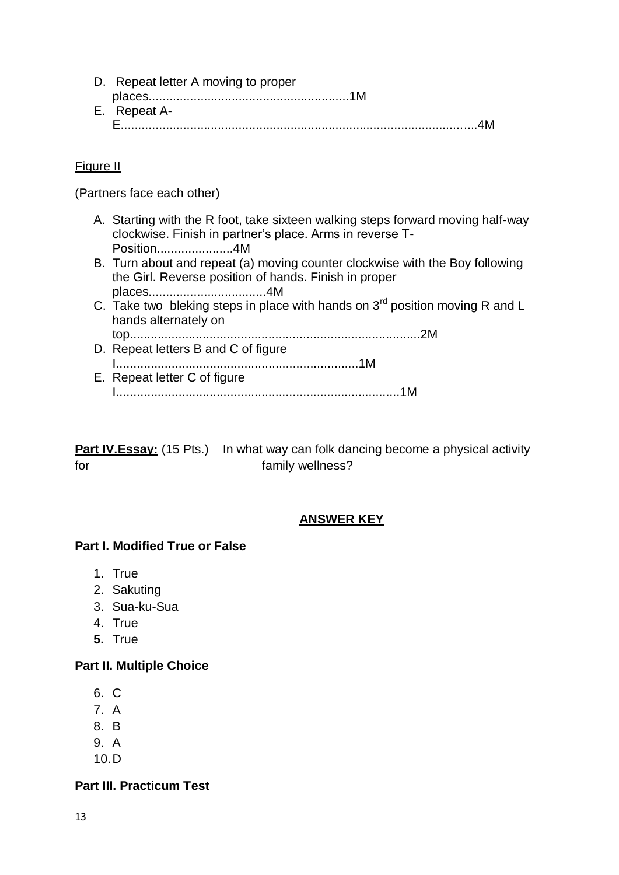| D. Repeat letter A moving to proper |  |
|-------------------------------------|--|
|                                     |  |
| E. Repeat A-                        |  |
|                                     |  |

## Figure II

(Partners face each other)

- A. Starting with the R foot, take sixteen walking steps forward moving half-way clockwise. Finish in partner's place. Arms in reverse T-Position......................4M
- B. Turn about and repeat (a) moving counter clockwise with the Boy following the Girl. Reverse position of hands. Finish in proper places..................................4M
- C. Take two bleking steps in place with hands on 3<sup>rd</sup> position moving R and L hands alternately on top....................................................................................2M
- D. Repeat letters B and C of figure I......................................................................1M E. Repeat letter C of figure I..................................................................................1M

**Part IV.Essay:** (15 Pts.) In what way can folk dancing become a physical activity for family wellness?

# **ANSWER KEY**

## **Part I. Modified True or False**

- 1. True
- 2. Sakuting
- 3. Sua-ku-Sua
- 4. True
- **5.** True

### **Part II. Multiple Choice**

- 6. C
- 7. A
- 8. B
- 9. A
- 10.D

## **Part III. Practicum Test**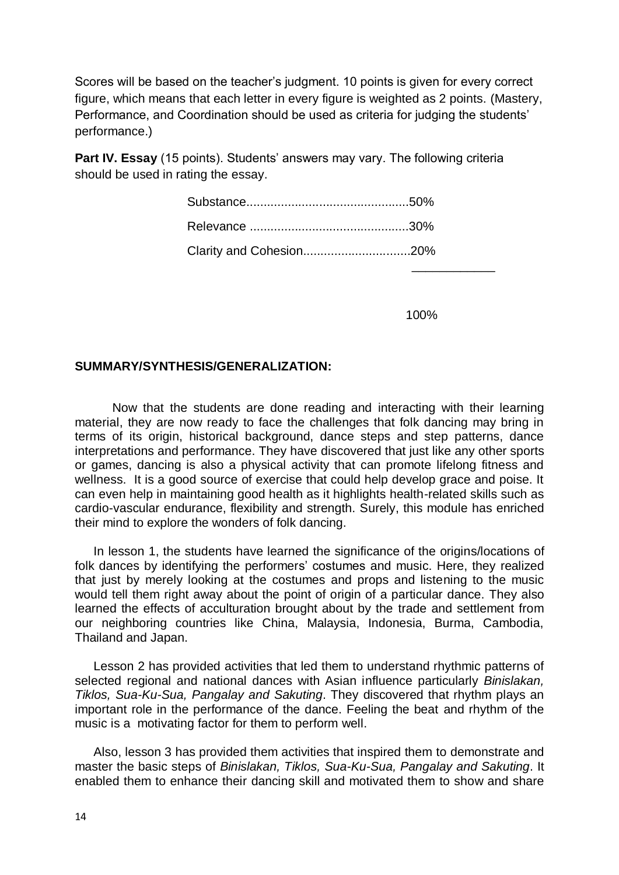Scores will be based on the teacher's judgment. 10 points is given for every correct figure, which means that each letter in every figure is weighted as 2 points. (Mastery, Performance, and Coordination should be used as criteria for judging the students' performance.)

**Part IV. Essay** (15 points). Students' answers may vary. The following criteria should be used in rating the essay.

| Clarity and Cohesion20% |  |
|-------------------------|--|

100%

### **SUMMARY/SYNTHESIS/GENERALIZATION:**

Now that the students are done reading and interacting with their learning material, they are now ready to face the challenges that folk dancing may bring in terms of its origin, historical background, dance steps and step patterns, dance interpretations and performance. They have discovered that just like any other sports or games, dancing is also a physical activity that can promote lifelong fitness and wellness. It is a good source of exercise that could help develop grace and poise. It can even help in maintaining good health as it highlights health-related skills such as cardio-vascular endurance, flexibility and strength. Surely, this module has enriched their mind to explore the wonders of folk dancing.

In lesson 1, the students have learned the significance of the origins/locations of folk dances by identifying the performers' costumes and music. Here, they realized that just by merely looking at the costumes and props and listening to the music would tell them right away about the point of origin of a particular dance. They also learned the effects of acculturation brought about by the trade and settlement from our neighboring countries like China, Malaysia, Indonesia, Burma, Cambodia, Thailand and Japan.

Lesson 2 has provided activities that led them to understand rhythmic patterns of selected regional and national dances with Asian influence particularly *Binislakan, Tiklos, Sua-Ku-Sua, Pangalay and Sakuting*. They discovered that rhythm plays an important role in the performance of the dance. Feeling the beat and rhythm of the music is a motivating factor for them to perform well.

Also, lesson 3 has provided them activities that inspired them to demonstrate and master the basic steps of *Binislakan, Tiklos, Sua-Ku-Sua, Pangalay and Sakuting*. It enabled them to enhance their dancing skill and motivated them to show and share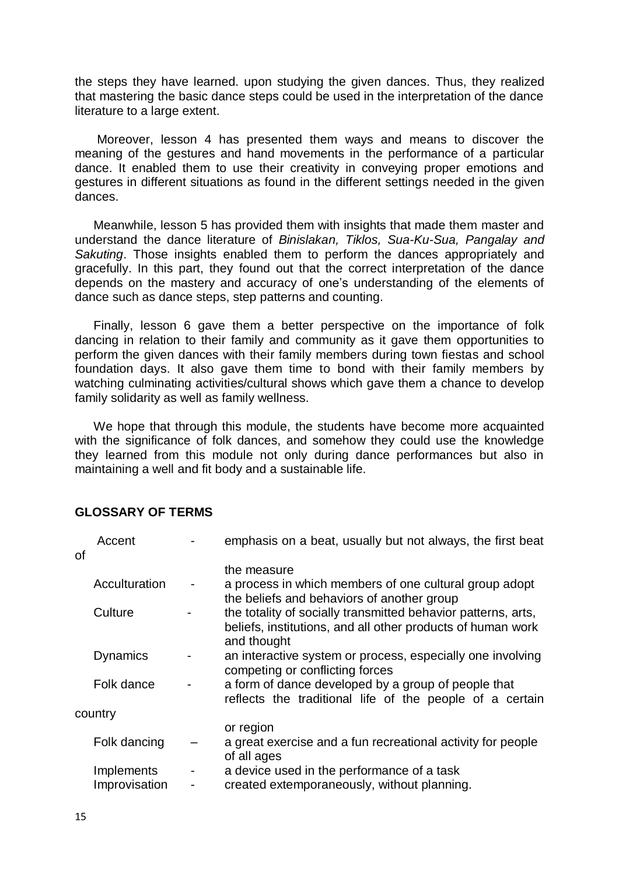the steps they have learned. upon studying the given dances. Thus, they realized that mastering the basic dance steps could be used in the interpretation of the dance literature to a large extent.

Moreover, lesson 4 has presented them ways and means to discover the meaning of the gestures and hand movements in the performance of a particular dance. It enabled them to use their creativity in conveying proper emotions and gestures in different situations as found in the different settings needed in the given dances.

Meanwhile, lesson 5 has provided them with insights that made them master and understand the dance literature of *Binislakan, Tiklos, Sua-Ku-Sua, Pangalay and Sakuting*. Those insights enabled them to perform the dances appropriately and gracefully. In this part, they found out that the correct interpretation of the dance depends on the mastery and accuracy of one's understanding of the elements of dance such as dance steps, step patterns and counting.

Finally, lesson 6 gave them a better perspective on the importance of folk dancing in relation to their family and community as it gave them opportunities to perform the given dances with their family members during town fiestas and school foundation days. It also gave them time to bond with their family members by watching culminating activities/cultural shows which gave them a chance to develop family solidarity as well as family wellness.

We hope that through this module, the students have become more acquainted with the significance of folk dances, and somehow they could use the knowledge they learned from this module not only during dance performances but also in maintaining a well and fit body and a sustainable life.

## **GLOSSARY OF TERMS**

|    | Accent          | emphasis on a beat, usually but not always, the first beat                                                                                  |
|----|-----------------|---------------------------------------------------------------------------------------------------------------------------------------------|
| οf |                 |                                                                                                                                             |
|    |                 | the measure                                                                                                                                 |
|    | Acculturation   | a process in which members of one cultural group adopt<br>the beliefs and behaviors of another group                                        |
|    | Culture         | the totality of socially transmitted behavior patterns, arts,<br>beliefs, institutions, and all other products of human work<br>and thought |
|    | <b>Dynamics</b> | an interactive system or process, especially one involving<br>competing or conflicting forces                                               |
|    | Folk dance      | a form of dance developed by a group of people that<br>reflects the traditional life of the people of a certain                             |
|    | country         |                                                                                                                                             |
|    |                 | or region                                                                                                                                   |
|    | Folk dancing    | a great exercise and a fun recreational activity for people<br>of all ages                                                                  |
|    | Implements      | a device used in the performance of a task                                                                                                  |
|    | Improvisation   | created extemporaneously, without planning.                                                                                                 |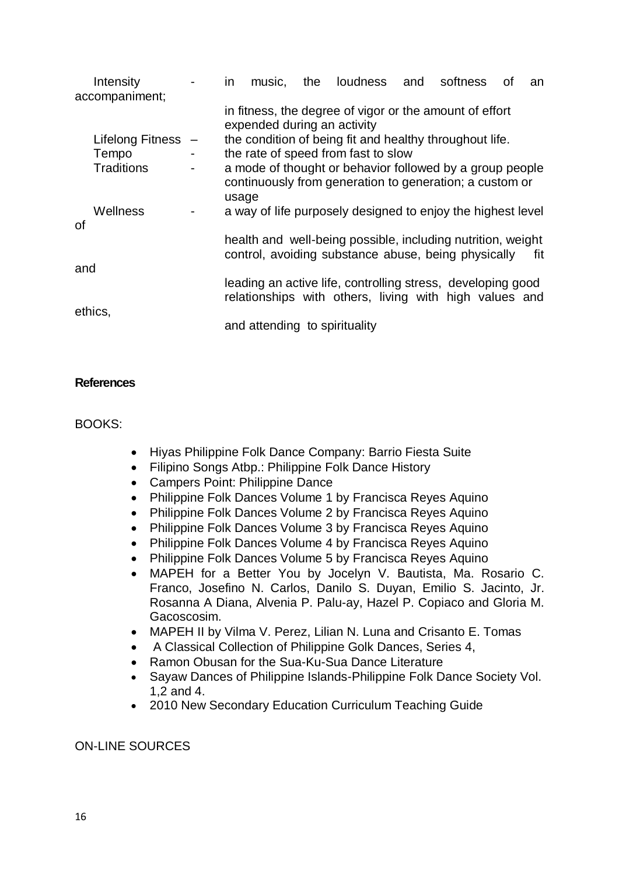|         | Intensity          |                               | <i>in</i>                                                                              | music,                                                                                                                       |                                                                                                                       | the loudness and                                                                                                   |  | softness | 0f | an  |
|---------|--------------------|-------------------------------|----------------------------------------------------------------------------------------|------------------------------------------------------------------------------------------------------------------------------|-----------------------------------------------------------------------------------------------------------------------|--------------------------------------------------------------------------------------------------------------------|--|----------|----|-----|
|         | accompaniment;     |                               |                                                                                        |                                                                                                                              |                                                                                                                       |                                                                                                                    |  |          |    |     |
|         |                    |                               | in fitness, the degree of vigor or the amount of effort<br>expended during an activity |                                                                                                                              |                                                                                                                       |                                                                                                                    |  |          |    |     |
|         | Lifelong Fitness - |                               |                                                                                        |                                                                                                                              |                                                                                                                       | the condition of being fit and healthy throughout life.                                                            |  |          |    |     |
|         | Tempo              | $\blacksquare$                |                                                                                        |                                                                                                                              |                                                                                                                       | the rate of speed from fast to slow                                                                                |  |          |    |     |
|         | <b>Traditions</b>  | $\overline{\phantom{a}}$      |                                                                                        | a mode of thought or behavior followed by a group people<br>continuously from generation to generation; a custom or<br>usage |                                                                                                                       |                                                                                                                    |  |          |    |     |
|         | <b>Wellness</b>    |                               |                                                                                        |                                                                                                                              |                                                                                                                       | a way of life purposely designed to enjoy the highest level                                                        |  |          |    |     |
| οf      |                    |                               |                                                                                        |                                                                                                                              |                                                                                                                       |                                                                                                                    |  |          |    |     |
|         |                    |                               |                                                                                        |                                                                                                                              |                                                                                                                       | health and well-being possible, including nutrition, weight<br>control, avoiding substance abuse, being physically |  |          |    | fit |
| and     |                    |                               |                                                                                        |                                                                                                                              |                                                                                                                       |                                                                                                                    |  |          |    |     |
| ethics, |                    |                               |                                                                                        |                                                                                                                              | leading an active life, controlling stress, developing good<br>relationships with others, living with high values and |                                                                                                                    |  |          |    |     |
|         |                    | and attending to spirituality |                                                                                        |                                                                                                                              |                                                                                                                       |                                                                                                                    |  |          |    |     |

## **References**

BOOKS:

- [Hiyas Philippine Folk Dance Company: Barrio Fiesta Suite](http://www.hiyas.org/barrio.html)
- [Filipino Songs Atbp.: Philippine Folk Dance History](http://filipinosongsatbp.blogspot.com/2007/12/philippine-folk-dance-history.html)
- [Campers Point: Philippine Dance](http://www.camperspoint.com/spip.php?article229)
- Philippine Folk Dances Volume 1 by Francisca Reyes Aquino
- Philippine Folk Dances Volume 2 by Francisca Reyes Aquino
- Philippine Folk Dances Volume 3 by Francisca Reyes Aquino
- Philippine Folk Dances Volume 4 by Francisca Reyes Aquino
- Philippine Folk Dances Volume 5 by Francisca Reyes Aquino
- MAPEH for a Better You by Jocelyn V. Bautista, Ma. Rosario C. Franco, Josefino N. Carlos, Danilo S. Duyan, Emilio S. Jacinto, Jr. Rosanna A Diana, Alvenia P. Palu-ay, Hazel P. Copiaco and Gloria M. Gacoscosim.
- MAPEH II by Vilma V. Perez, Lilian N. Luna and Crisanto E. Tomas
- A Classical Collection of Philippine Golk Dances, Series 4,
- Ramon Obusan for the Sua-Ku-Sua Dance Literature
- Sayaw Dances of Philippine Islands-Philippine Folk Dance Society Vol. 1,2 and 4.
- 2010 New Secondary Education Curriculum Teaching Guide

## ON-LINE SOURCES